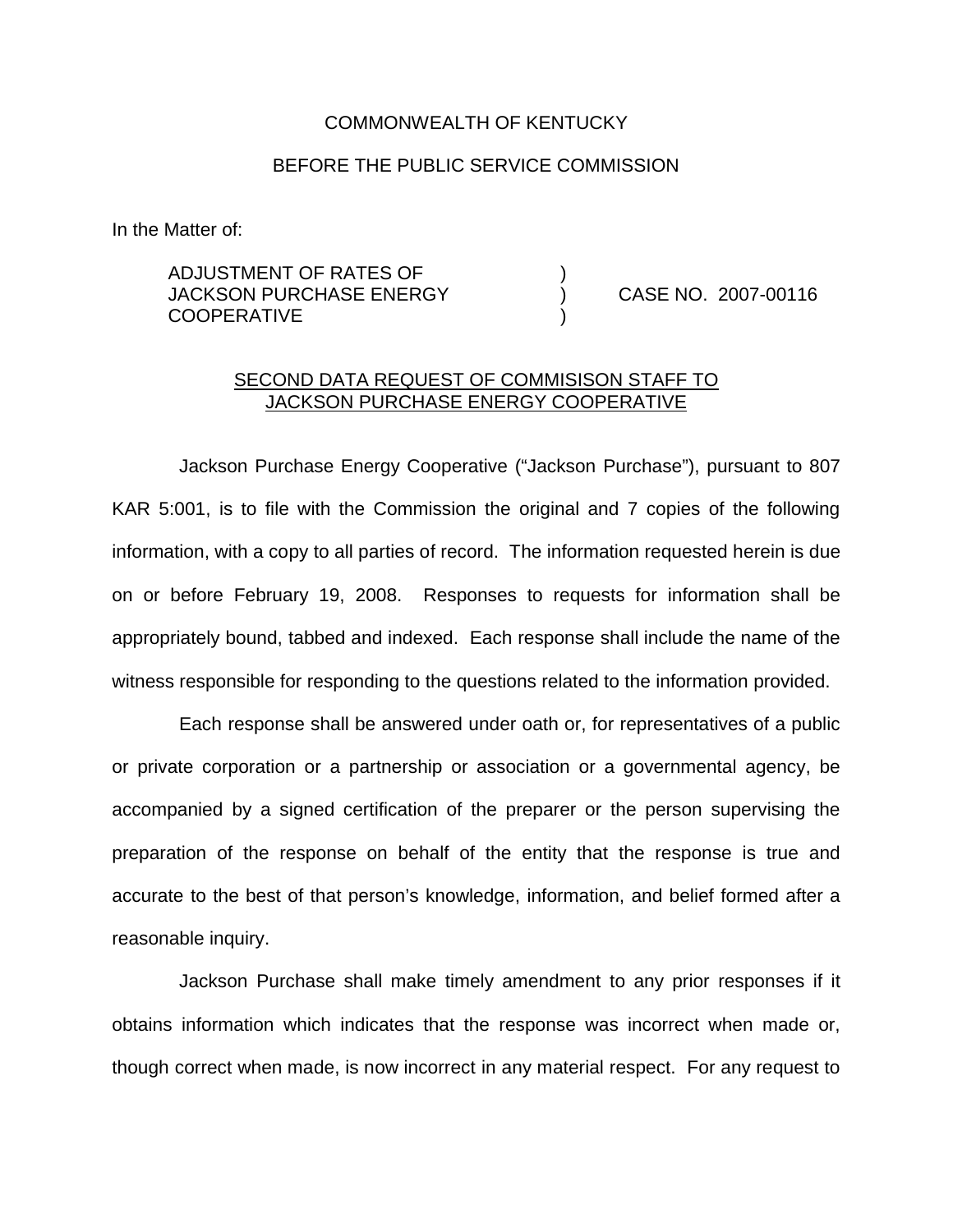#### COMMONWEALTH OF KENTUCKY

### BEFORE THE PUBLIC SERVICE COMMISSION

In the Matter of:

ADJUSTMENT OF RATES OF ) JACKSON PURCHASE ENERGY (and CASE NO. 2007-00116) **COOPERATIVE** 

### SECOND DATA REQUEST OF COMMISISON STAFF TO JACKSON PURCHASE ENERGY COOPERATIVE

Jackson Purchase Energy Cooperative ("Jackson Purchase"), pursuant to 807 KAR 5:001, is to file with the Commission the original and 7 copies of the following information, with a copy to all parties of record. The information requested herein is due on or before February 19, 2008. Responses to requests for information shall be appropriately bound, tabbed and indexed. Each response shall include the name of the witness responsible for responding to the questions related to the information provided.

Each response shall be answered under oath or, for representatives of a public or private corporation or a partnership or association or a governmental agency, be accompanied by a signed certification of the preparer or the person supervising the preparation of the response on behalf of the entity that the response is true and accurate to the best of that person's knowledge, information, and belief formed after a reasonable inquiry.

Jackson Purchase shall make timely amendment to any prior responses if it obtains information which indicates that the response was incorrect when made or, though correct when made, is now incorrect in any material respect. For any request to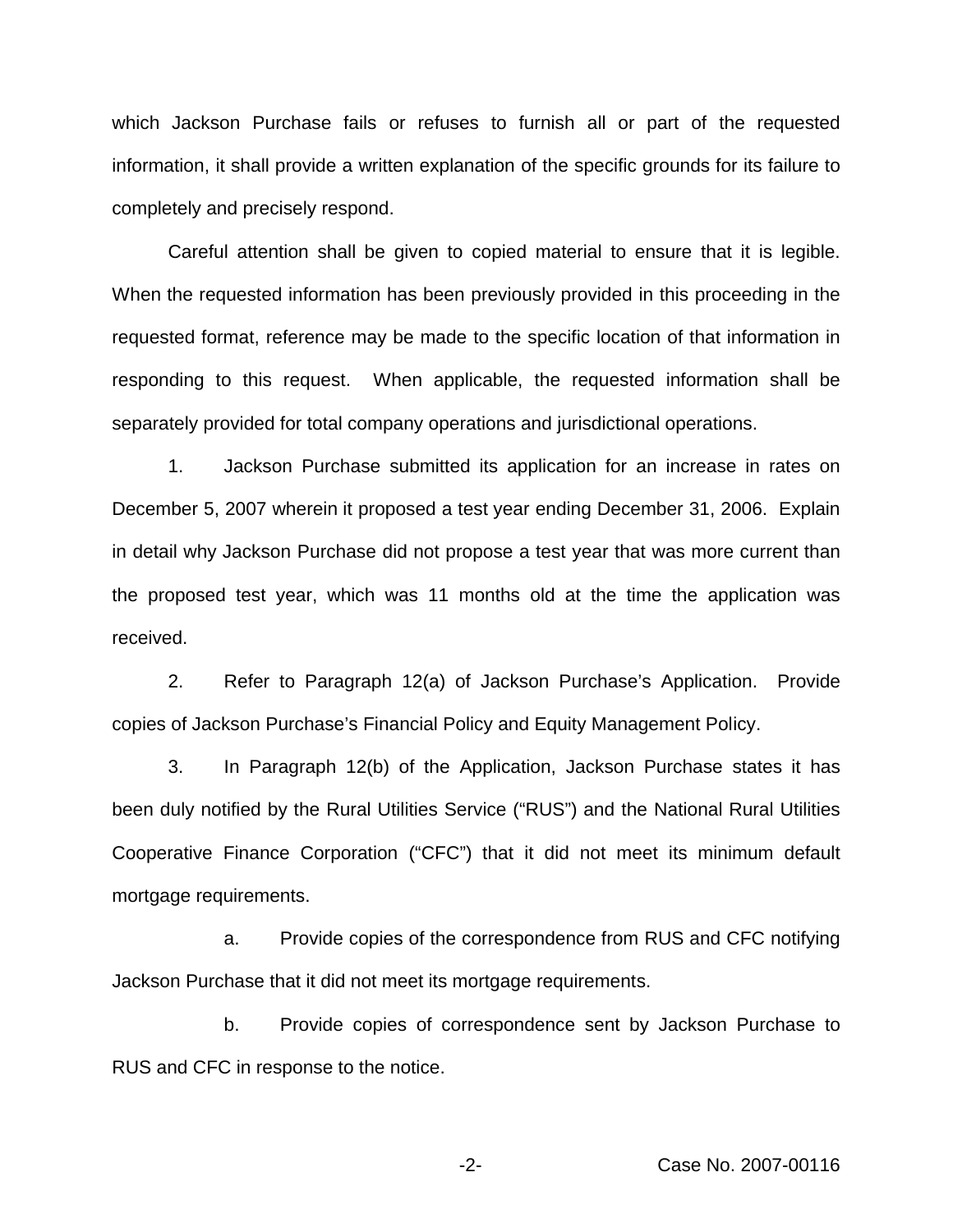which Jackson Purchase fails or refuses to furnish all or part of the requested information, it shall provide a written explanation of the specific grounds for its failure to completely and precisely respond.

Careful attention shall be given to copied material to ensure that it is legible. When the requested information has been previously provided in this proceeding in the requested format, reference may be made to the specific location of that information in responding to this request. When applicable, the requested information shall be separately provided for total company operations and jurisdictional operations.

1. Jackson Purchase submitted its application for an increase in rates on December 5, 2007 wherein it proposed a test year ending December 31, 2006. Explain in detail why Jackson Purchase did not propose a test year that was more current than the proposed test year, which was 11 months old at the time the application was received.

2. Refer to Paragraph 12(a) of Jackson Purchase's Application. Provide copies of Jackson Purchase's Financial Policy and Equity Management Policy.

3. In Paragraph 12(b) of the Application, Jackson Purchase states it has been duly notified by the Rural Utilities Service ("RUS") and the National Rural Utilities Cooperative Finance Corporation ("CFC") that it did not meet its minimum default mortgage requirements.

a. Provide copies of the correspondence from RUS and CFC notifying Jackson Purchase that it did not meet its mortgage requirements.

b. Provide copies of correspondence sent by Jackson Purchase to RUS and CFC in response to the notice.

-2- Case No. 2007-00116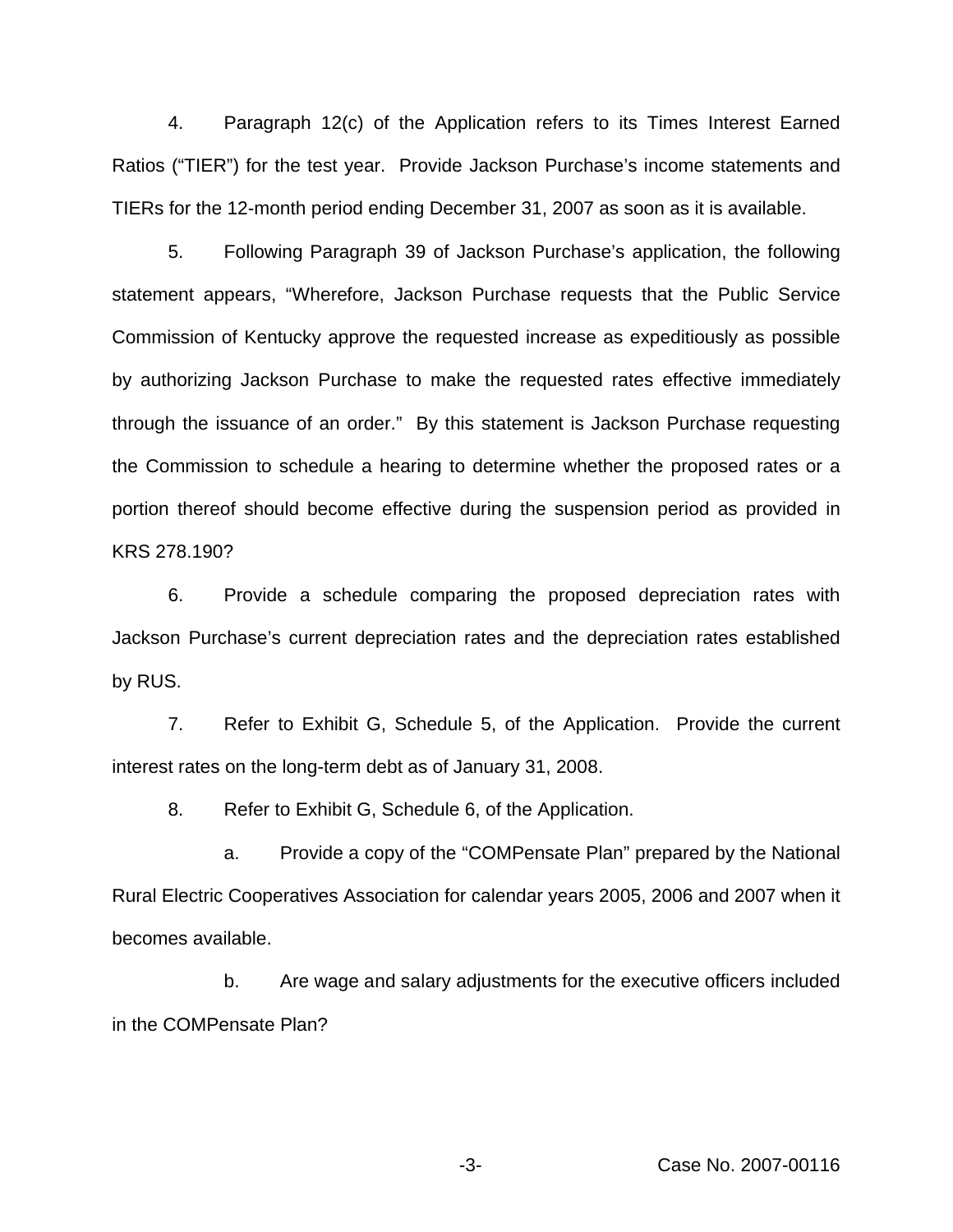4. Paragraph 12(c) of the Application refers to its Times Interest Earned Ratios ("TIER") for the test year. Provide Jackson Purchase's income statements and TIERs for the 12-month period ending December 31, 2007 as soon as it is available.

5. Following Paragraph 39 of Jackson Purchase's application, the following statement appears, "Wherefore, Jackson Purchase requests that the Public Service Commission of Kentucky approve the requested increase as expeditiously as possible by authorizing Jackson Purchase to make the requested rates effective immediately through the issuance of an order." By this statement is Jackson Purchase requesting the Commission to schedule a hearing to determine whether the proposed rates or a portion thereof should become effective during the suspension period as provided in KRS 278.190?

6. Provide a schedule comparing the proposed depreciation rates with Jackson Purchase's current depreciation rates and the depreciation rates established by RUS.

7. Refer to Exhibit G, Schedule 5, of the Application. Provide the current interest rates on the long-term debt as of January 31, 2008.

8. Refer to Exhibit G, Schedule 6, of the Application.

a. Provide a copy of the "COMPensate Plan" prepared by the National Rural Electric Cooperatives Association for calendar years 2005, 2006 and 2007 when it becomes available.

b. Are wage and salary adjustments for the executive officers included in the COMPensate Plan?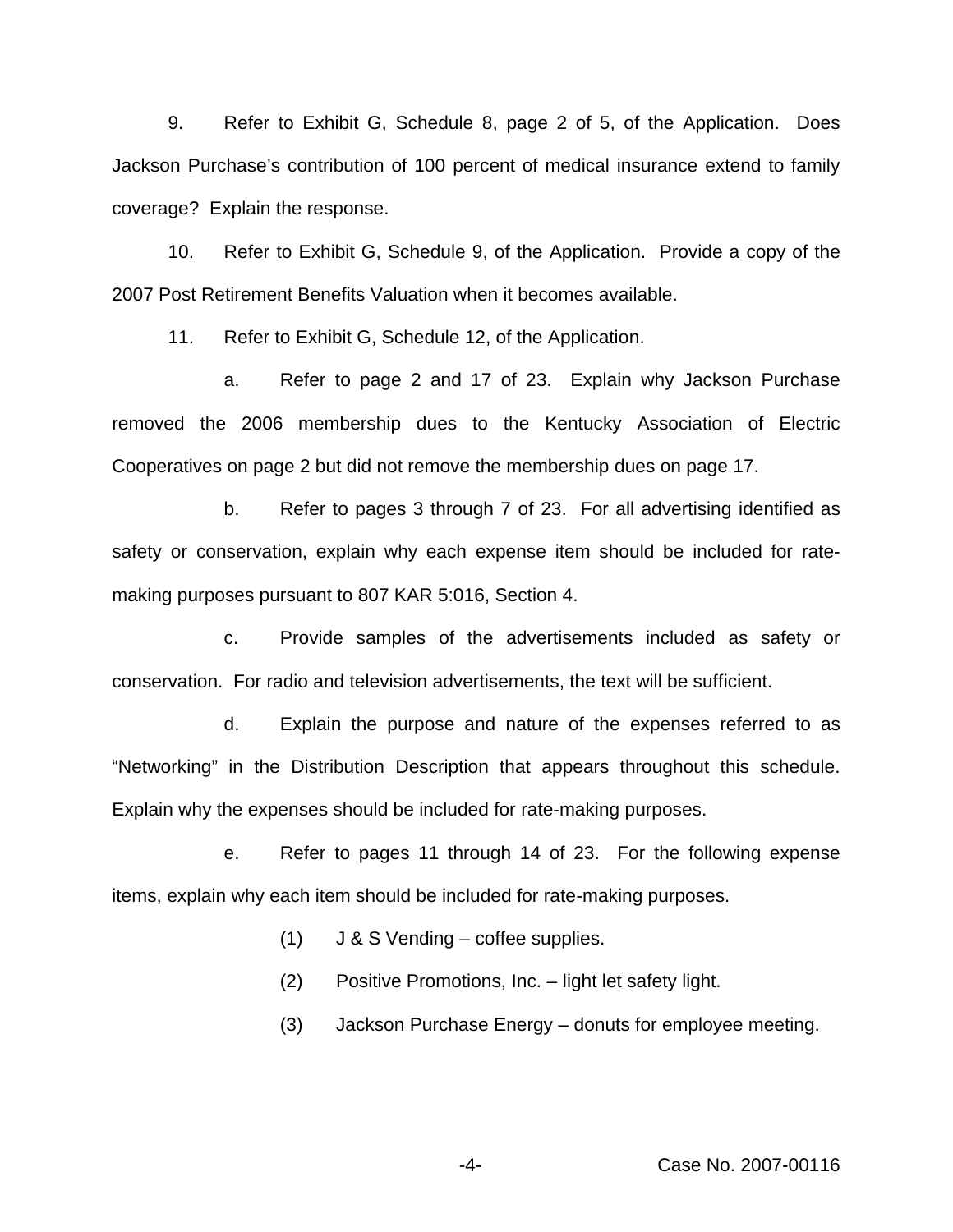9. Refer to Exhibit G, Schedule 8, page 2 of 5, of the Application. Does Jackson Purchase's contribution of 100 percent of medical insurance extend to family coverage? Explain the response.

10. Refer to Exhibit G, Schedule 9, of the Application. Provide a copy of the 2007 Post Retirement Benefits Valuation when it becomes available.

11. Refer to Exhibit G, Schedule 12, of the Application.

a. Refer to page 2 and 17 of 23. Explain why Jackson Purchase removed the 2006 membership dues to the Kentucky Association of Electric Cooperatives on page 2 but did not remove the membership dues on page 17.

b. Refer to pages 3 through 7 of 23. For all advertising identified as safety or conservation, explain why each expense item should be included for ratemaking purposes pursuant to 807 KAR 5:016, Section 4.

c. Provide samples of the advertisements included as safety or conservation. For radio and television advertisements, the text will be sufficient.

d. Explain the purpose and nature of the expenses referred to as "Networking" in the Distribution Description that appears throughout this schedule. Explain why the expenses should be included for rate-making purposes.

e. Refer to pages 11 through 14 of 23. For the following expense items, explain why each item should be included for rate-making purposes.

- (1) J & S Vending coffee supplies.
- (2) Positive Promotions, Inc. light let safety light.
- (3) Jackson Purchase Energy donuts for employee meeting.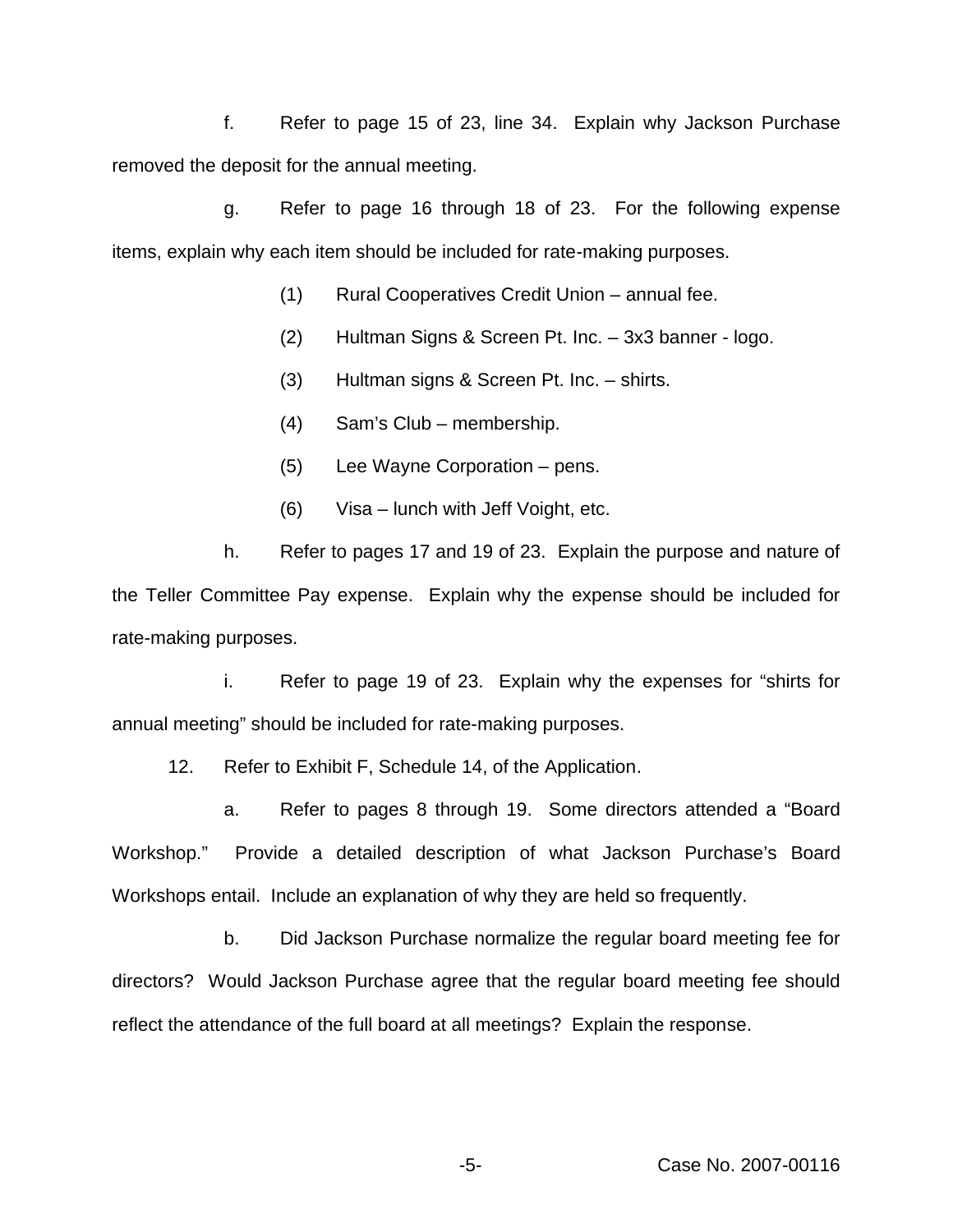f. Refer to page 15 of 23, line 34. Explain why Jackson Purchase removed the deposit for the annual meeting.

g. Refer to page 16 through 18 of 23. For the following expense items, explain why each item should be included for rate-making purposes.

- (1) Rural Cooperatives Credit Union annual fee.
- (2) Hultman Signs & Screen Pt. Inc. 3x3 banner logo.
- (3) Hultman signs & Screen Pt. Inc. shirts.
- (4) Sam's Club membership.
- (5) Lee Wayne Corporation pens.
- (6) Visa lunch with Jeff Voight, etc.

h. Refer to pages 17 and 19 of 23. Explain the purpose and nature of the Teller Committee Pay expense. Explain why the expense should be included for rate-making purposes.

i. Refer to page 19 of 23. Explain why the expenses for "shirts for annual meeting" should be included for rate-making purposes.

12. Refer to Exhibit F, Schedule 14, of the Application.

a. Refer to pages 8 through 19. Some directors attended a "Board Workshop." Provide a detailed description of what Jackson Purchase's Board Workshops entail. Include an explanation of why they are held so frequently.

b. Did Jackson Purchase normalize the regular board meeting fee for directors? Would Jackson Purchase agree that the regular board meeting fee should reflect the attendance of the full board at all meetings? Explain the response.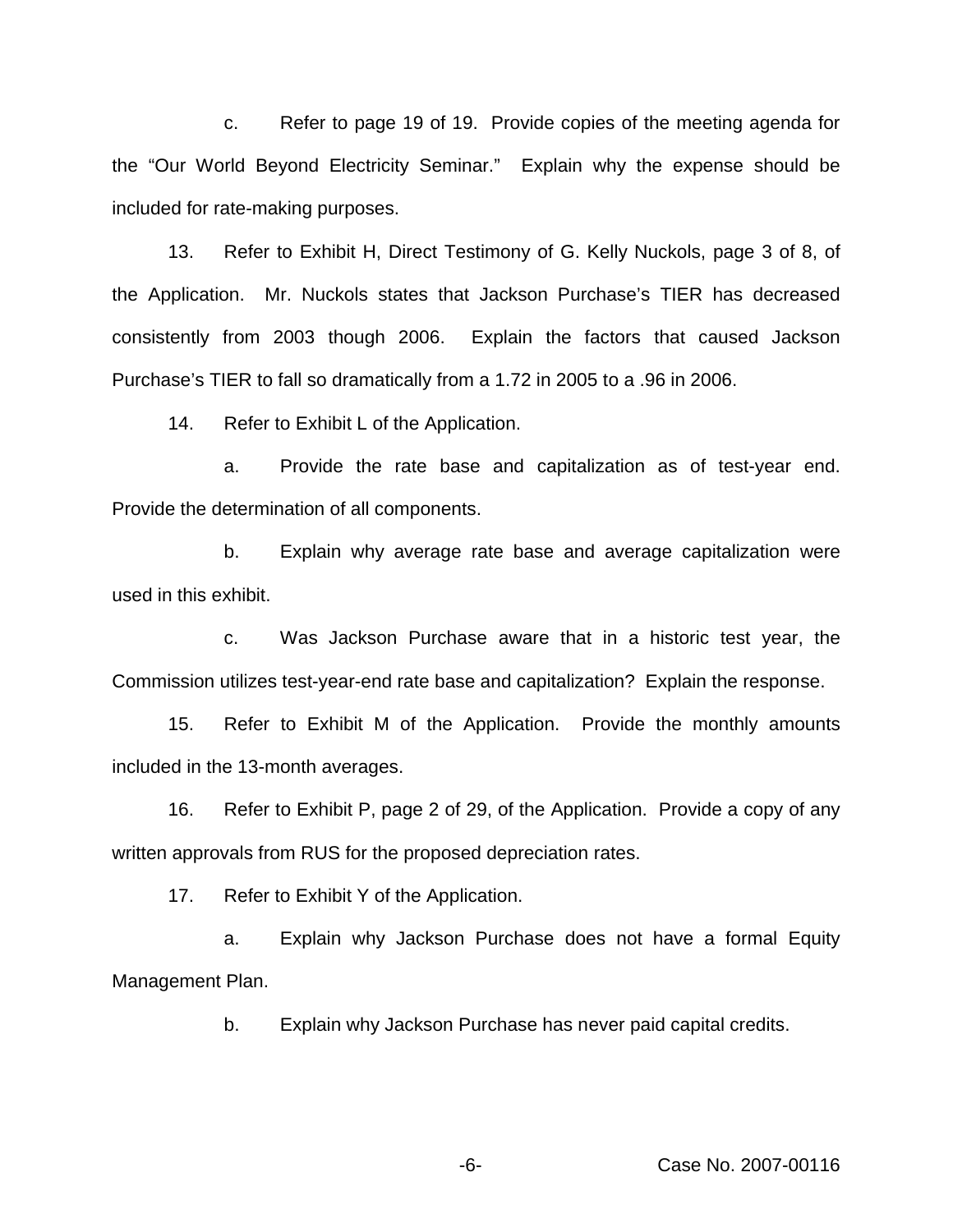c. Refer to page 19 of 19. Provide copies of the meeting agenda for the "Our World Beyond Electricity Seminar." Explain why the expense should be included for rate-making purposes.

13. Refer to Exhibit H, Direct Testimony of G. Kelly Nuckols, page 3 of 8, of the Application. Mr. Nuckols states that Jackson Purchase's TIER has decreased consistently from 2003 though 2006. Explain the factors that caused Jackson Purchase's TIER to fall so dramatically from a 1.72 in 2005 to a .96 in 2006.

14. Refer to Exhibit L of the Application.

a. Provide the rate base and capitalization as of test-year end. Provide the determination of all components.

b. Explain why average rate base and average capitalization were used in this exhibit.

c. Was Jackson Purchase aware that in a historic test year, the Commission utilizes test-year-end rate base and capitalization? Explain the response.

15. Refer to Exhibit M of the Application. Provide the monthly amounts included in the 13-month averages.

16. Refer to Exhibit P, page 2 of 29, of the Application. Provide a copy of any written approvals from RUS for the proposed depreciation rates.

17. Refer to Exhibit Y of the Application.

a. Explain why Jackson Purchase does not have a formal Equity Management Plan.

b. Explain why Jackson Purchase has never paid capital credits.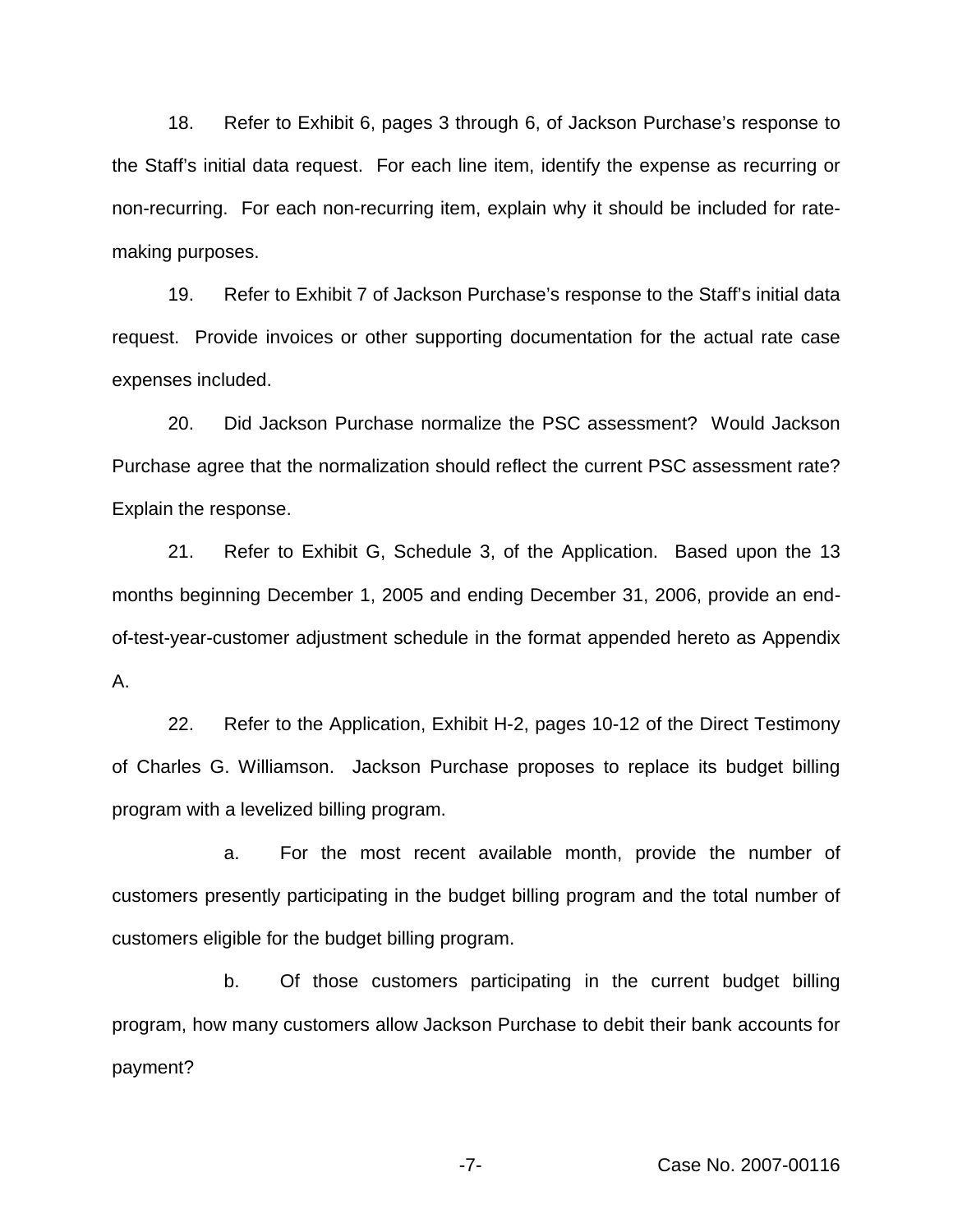18. Refer to Exhibit 6, pages 3 through 6, of Jackson Purchase's response to the Staff's initial data request. For each line item, identify the expense as recurring or non-recurring. For each non-recurring item, explain why it should be included for ratemaking purposes.

19. Refer to Exhibit 7 of Jackson Purchase's response to the Staff's initial data request. Provide invoices or other supporting documentation for the actual rate case expenses included.

20. Did Jackson Purchase normalize the PSC assessment? Would Jackson Purchase agree that the normalization should reflect the current PSC assessment rate? Explain the response.

21. Refer to Exhibit G, Schedule 3, of the Application. Based upon the 13 months beginning December 1, 2005 and ending December 31, 2006, provide an endof-test-year-customer adjustment schedule in the format appended hereto as Appendix A.

22. Refer to the Application, Exhibit H-2, pages 10-12 of the Direct Testimony of Charles G. Williamson. Jackson Purchase proposes to replace its budget billing program with a levelized billing program.

a. For the most recent available month, provide the number of customers presently participating in the budget billing program and the total number of customers eligible for the budget billing program.

b. Of those customers participating in the current budget billing program, how many customers allow Jackson Purchase to debit their bank accounts for payment?

-7- Case No. 2007-00116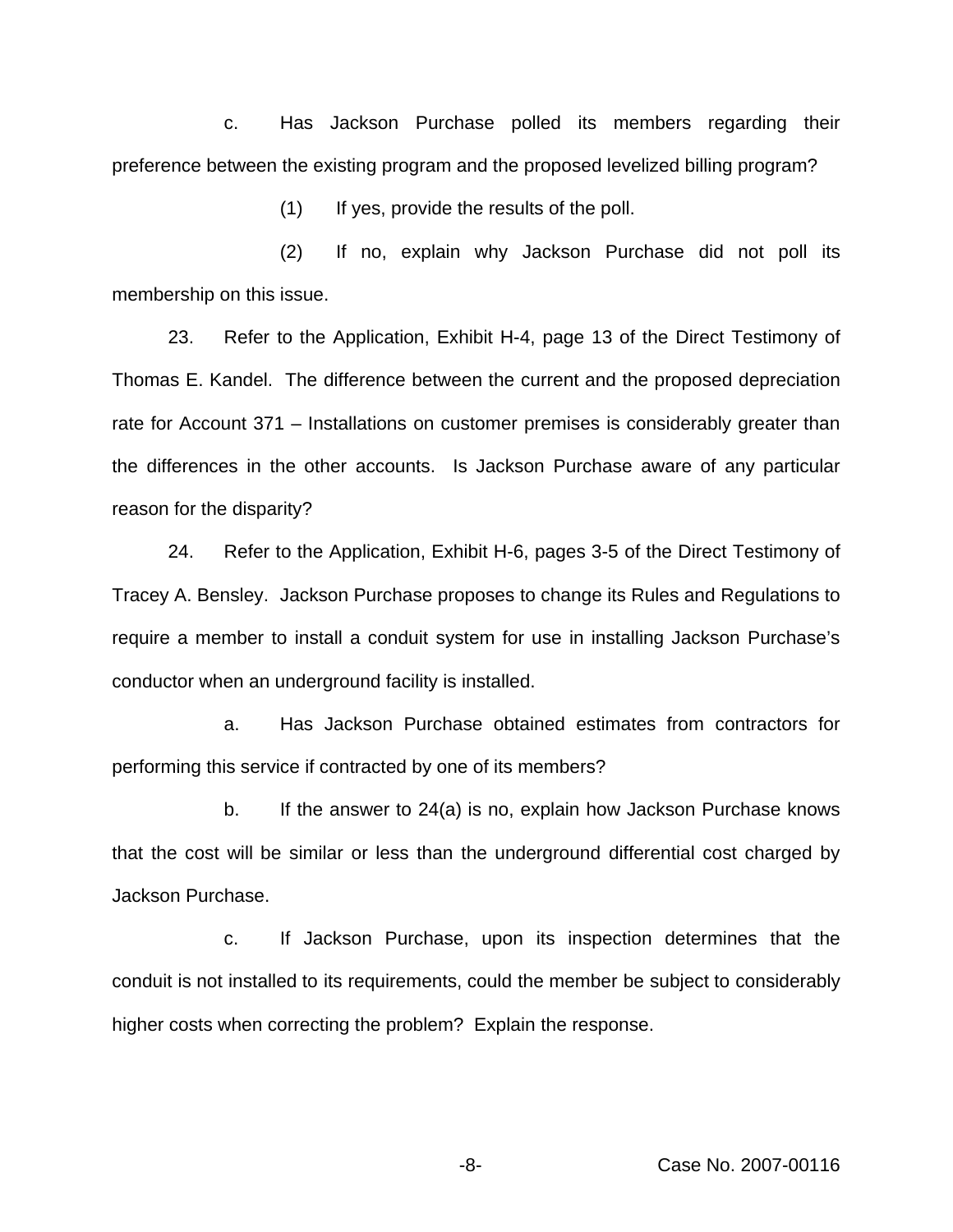c. Has Jackson Purchase polled its members regarding their preference between the existing program and the proposed levelized billing program?

(1) If yes, provide the results of the poll.

(2) If no, explain why Jackson Purchase did not poll its membership on this issue.

23. Refer to the Application, Exhibit H-4, page 13 of the Direct Testimony of Thomas E. Kandel. The difference between the current and the proposed depreciation rate for Account 371 – Installations on customer premises is considerably greater than the differences in the other accounts. Is Jackson Purchase aware of any particular reason for the disparity?

24. Refer to the Application, Exhibit H-6, pages 3-5 of the Direct Testimony of Tracey A. Bensley. Jackson Purchase proposes to change its Rules and Regulations to require a member to install a conduit system for use in installing Jackson Purchase's conductor when an underground facility is installed.

a. Has Jackson Purchase obtained estimates from contractors for performing this service if contracted by one of its members?

b. If the answer to 24(a) is no, explain how Jackson Purchase knows that the cost will be similar or less than the underground differential cost charged by Jackson Purchase.

c. If Jackson Purchase, upon its inspection determines that the conduit is not installed to its requirements, could the member be subject to considerably higher costs when correcting the problem? Explain the response.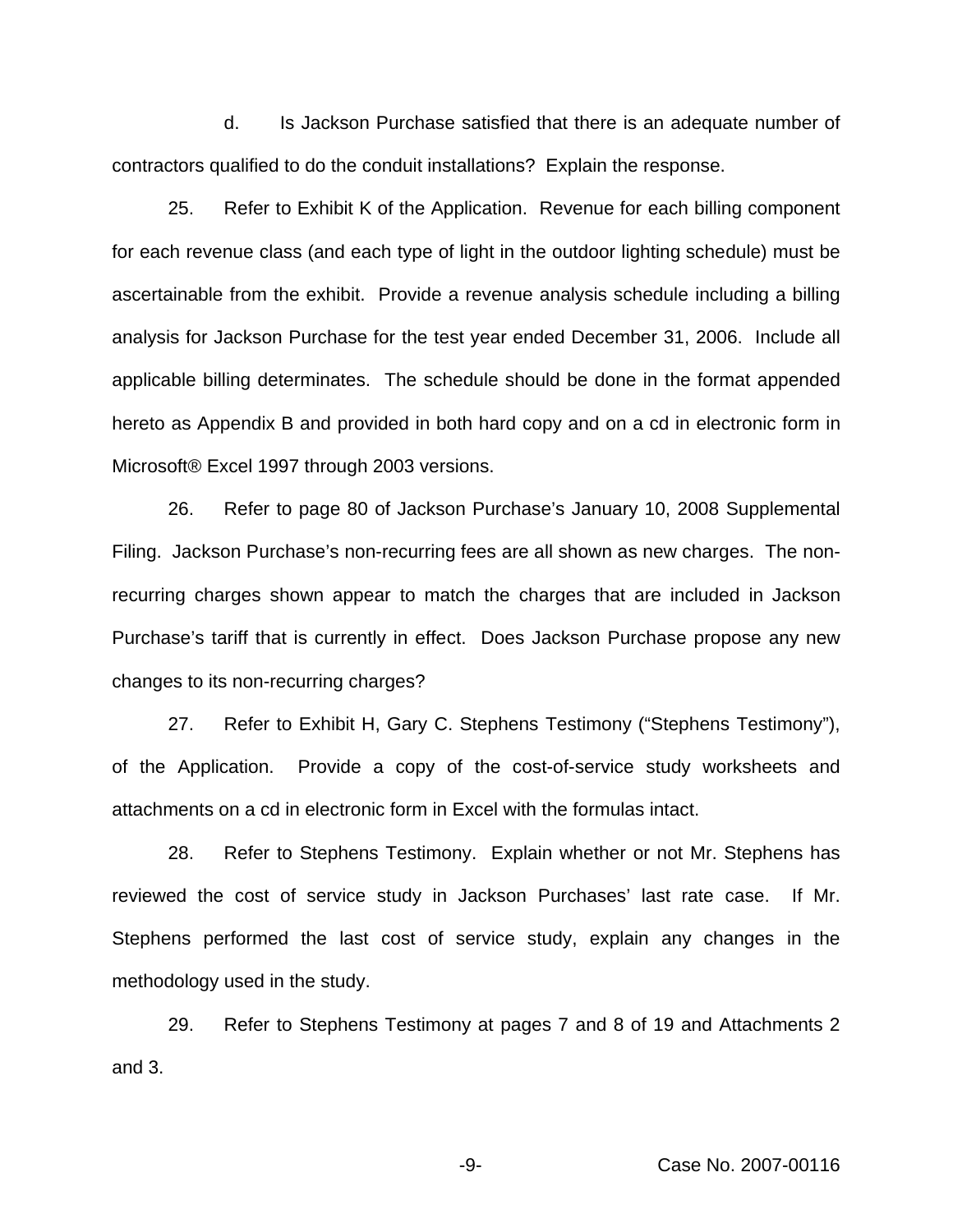d. Is Jackson Purchase satisfied that there is an adequate number of contractors qualified to do the conduit installations? Explain the response.

25. Refer to Exhibit K of the Application. Revenue for each billing component for each revenue class (and each type of light in the outdoor lighting schedule) must be ascertainable from the exhibit. Provide a revenue analysis schedule including a billing analysis for Jackson Purchase for the test year ended December 31, 2006. Include all applicable billing determinates. The schedule should be done in the format appended hereto as Appendix B and provided in both hard copy and on a cd in electronic form in Microsoft® Excel 1997 through 2003 versions.

26. Refer to page 80 of Jackson Purchase's January 10, 2008 Supplemental Filing. Jackson Purchase's non-recurring fees are all shown as new charges. The nonrecurring charges shown appear to match the charges that are included in Jackson Purchase's tariff that is currently in effect. Does Jackson Purchase propose any new changes to its non-recurring charges?

27. Refer to Exhibit H, Gary C. Stephens Testimony ("Stephens Testimony"), of the Application. Provide a copy of the cost-of-service study worksheets and attachments on a cd in electronic form in Excel with the formulas intact.

28. Refer to Stephens Testimony. Explain whether or not Mr. Stephens has reviewed the cost of service study in Jackson Purchases' last rate case. If Mr. Stephens performed the last cost of service study, explain any changes in the methodology used in the study.

29. Refer to Stephens Testimony at pages 7 and 8 of 19 and Attachments 2 and 3.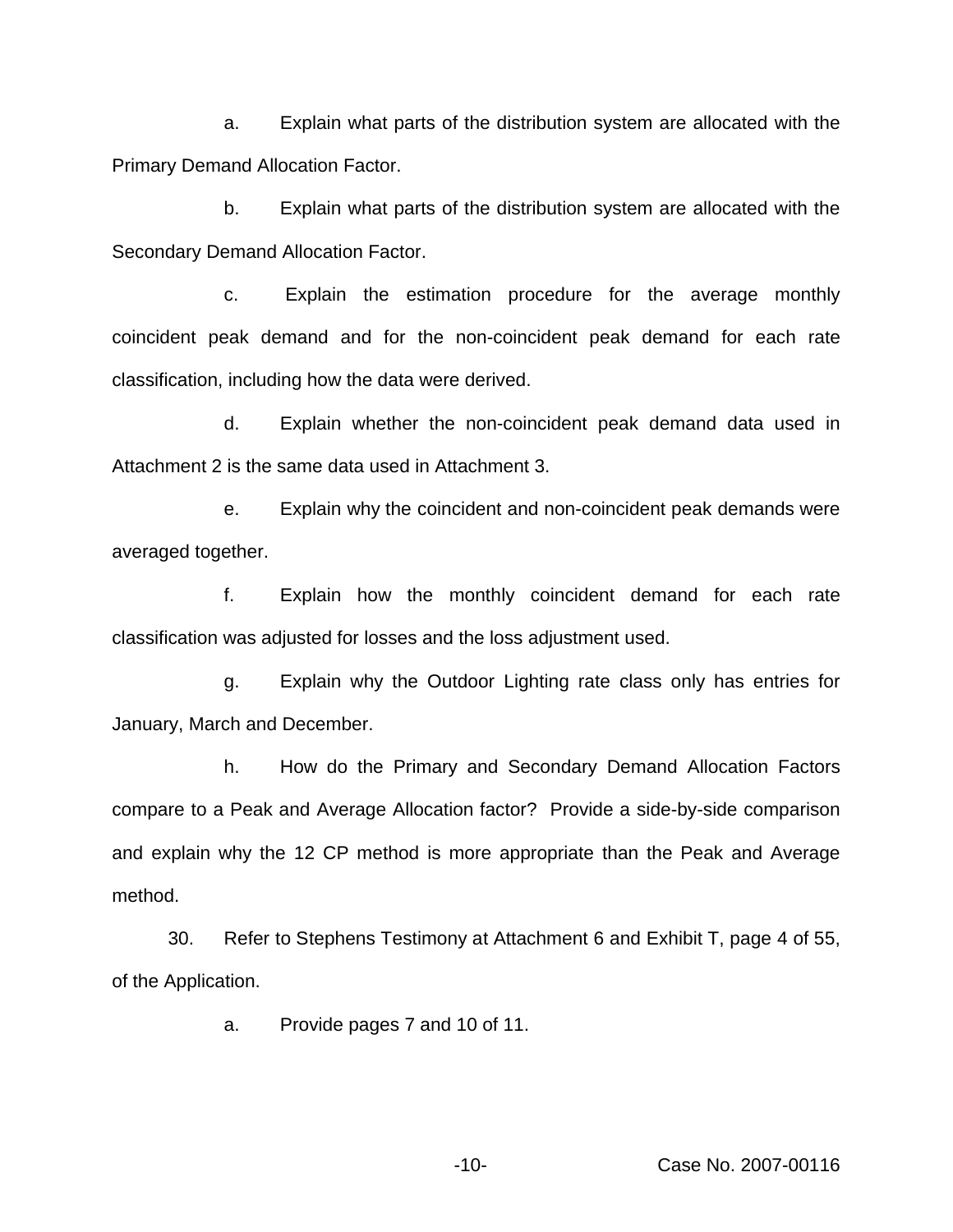a. Explain what parts of the distribution system are allocated with the Primary Demand Allocation Factor.

b. Explain what parts of the distribution system are allocated with the Secondary Demand Allocation Factor.

c. Explain the estimation procedure for the average monthly coincident peak demand and for the non-coincident peak demand for each rate classification, including how the data were derived.

d. Explain whether the non-coincident peak demand data used in Attachment 2 is the same data used in Attachment 3.

e. Explain why the coincident and non-coincident peak demands were averaged together.

f. Explain how the monthly coincident demand for each rate classification was adjusted for losses and the loss adjustment used.

g. Explain why the Outdoor Lighting rate class only has entries for January, March and December.

h. How do the Primary and Secondary Demand Allocation Factors compare to a Peak and Average Allocation factor? Provide a side-by-side comparison and explain why the 12 CP method is more appropriate than the Peak and Average method.

30. Refer to Stephens Testimony at Attachment 6 and Exhibit T, page 4 of 55, of the Application.

a. Provide pages 7 and 10 of 11.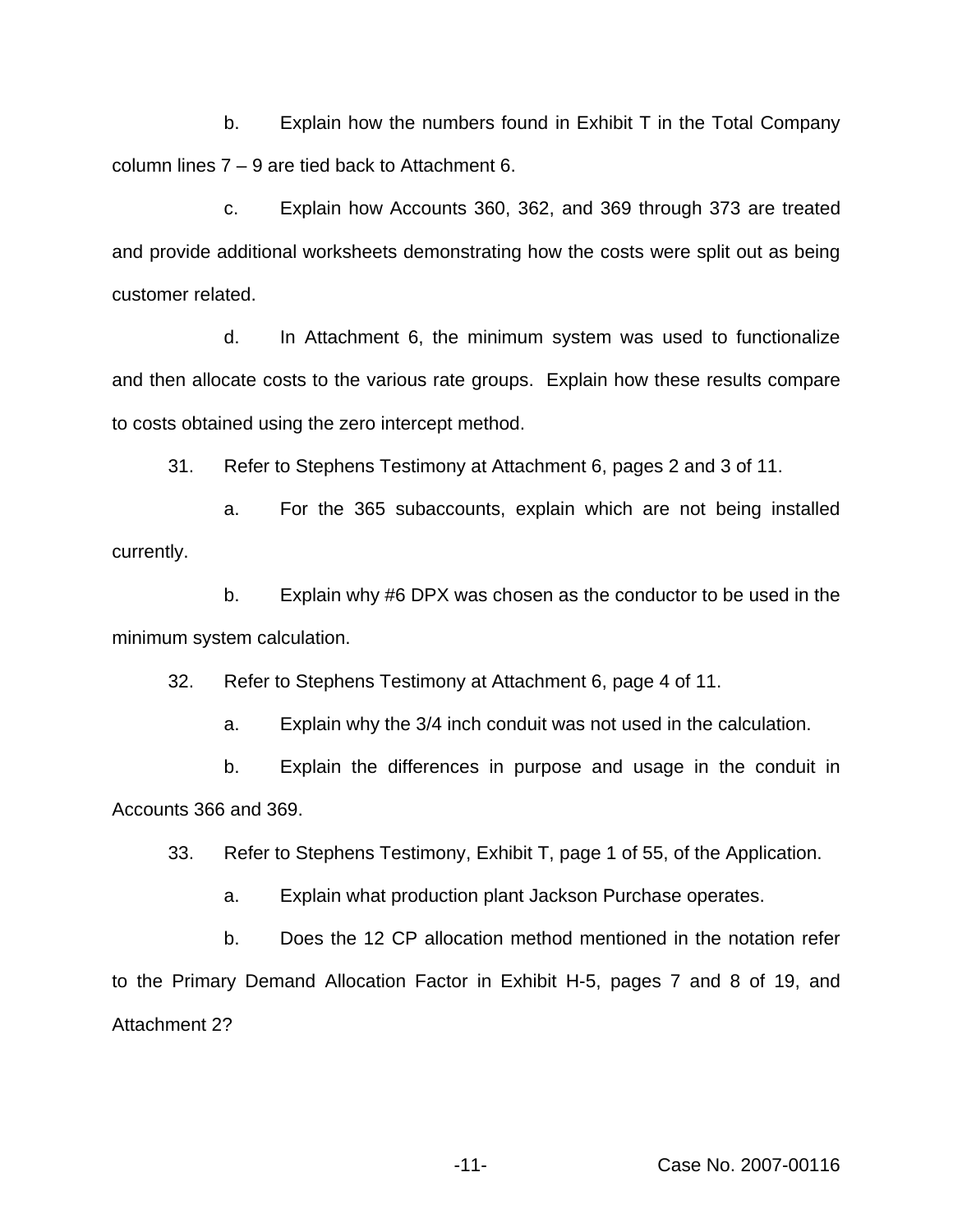b. Explain how the numbers found in Exhibit T in the Total Company column lines 7 – 9 are tied back to Attachment 6.

c. Explain how Accounts 360, 362, and 369 through 373 are treated and provide additional worksheets demonstrating how the costs were split out as being customer related.

d. In Attachment 6, the minimum system was used to functionalize and then allocate costs to the various rate groups. Explain how these results compare to costs obtained using the zero intercept method.

31. Refer to Stephens Testimony at Attachment 6, pages 2 and 3 of 11.

a. For the 365 subaccounts, explain which are not being installed currently.

b. Explain why #6 DPX was chosen as the conductor to be used in the minimum system calculation.

32. Refer to Stephens Testimony at Attachment 6, page 4 of 11.

a. Explain why the 3/4 inch conduit was not used in the calculation.

b. Explain the differences in purpose and usage in the conduit in Accounts 366 and 369.

33. Refer to Stephens Testimony, Exhibit T, page 1 of 55, of the Application.

a. Explain what production plant Jackson Purchase operates.

b. Does the 12 CP allocation method mentioned in the notation refer to the Primary Demand Allocation Factor in Exhibit H-5, pages 7 and 8 of 19, and Attachment 2?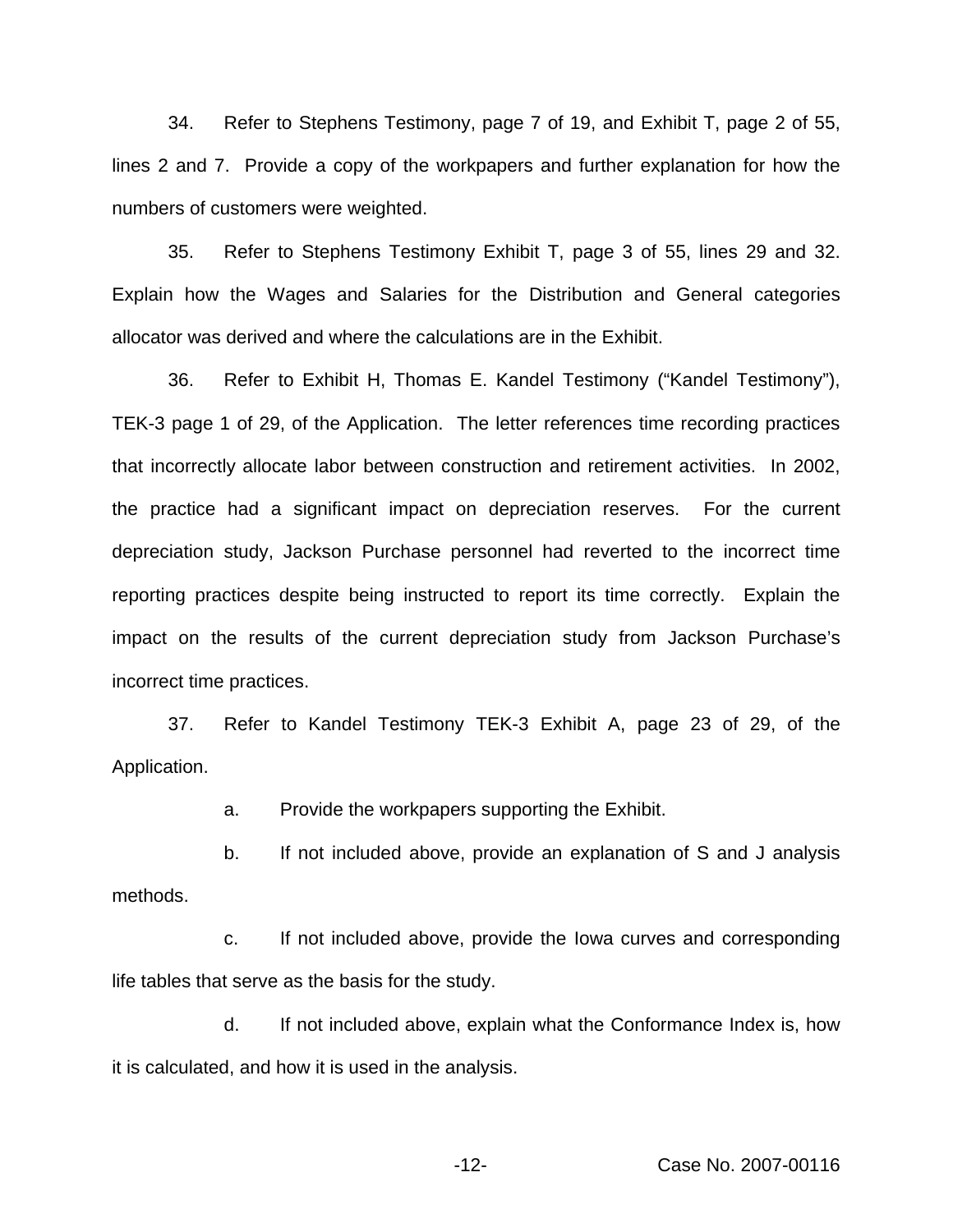34. Refer to Stephens Testimony, page 7 of 19, and Exhibit T, page 2 of 55, lines 2 and 7. Provide a copy of the workpapers and further explanation for how the numbers of customers were weighted.

35. Refer to Stephens Testimony Exhibit T, page 3 of 55, lines 29 and 32. Explain how the Wages and Salaries for the Distribution and General categories allocator was derived and where the calculations are in the Exhibit.

36. Refer to Exhibit H, Thomas E. Kandel Testimony ("Kandel Testimony"), TEK-3 page 1 of 29, of the Application. The letter references time recording practices that incorrectly allocate labor between construction and retirement activities. In 2002, the practice had a significant impact on depreciation reserves. For the current depreciation study, Jackson Purchase personnel had reverted to the incorrect time reporting practices despite being instructed to report its time correctly. Explain the impact on the results of the current depreciation study from Jackson Purchase's incorrect time practices.

37. Refer to Kandel Testimony TEK-3 Exhibit A, page 23 of 29, of the Application.

a. Provide the workpapers supporting the Exhibit.

b. If not included above, provide an explanation of S and J analysis methods.

c. If not included above, provide the Iowa curves and corresponding life tables that serve as the basis for the study.

d. If not included above, explain what the Conformance Index is, how it is calculated, and how it is used in the analysis.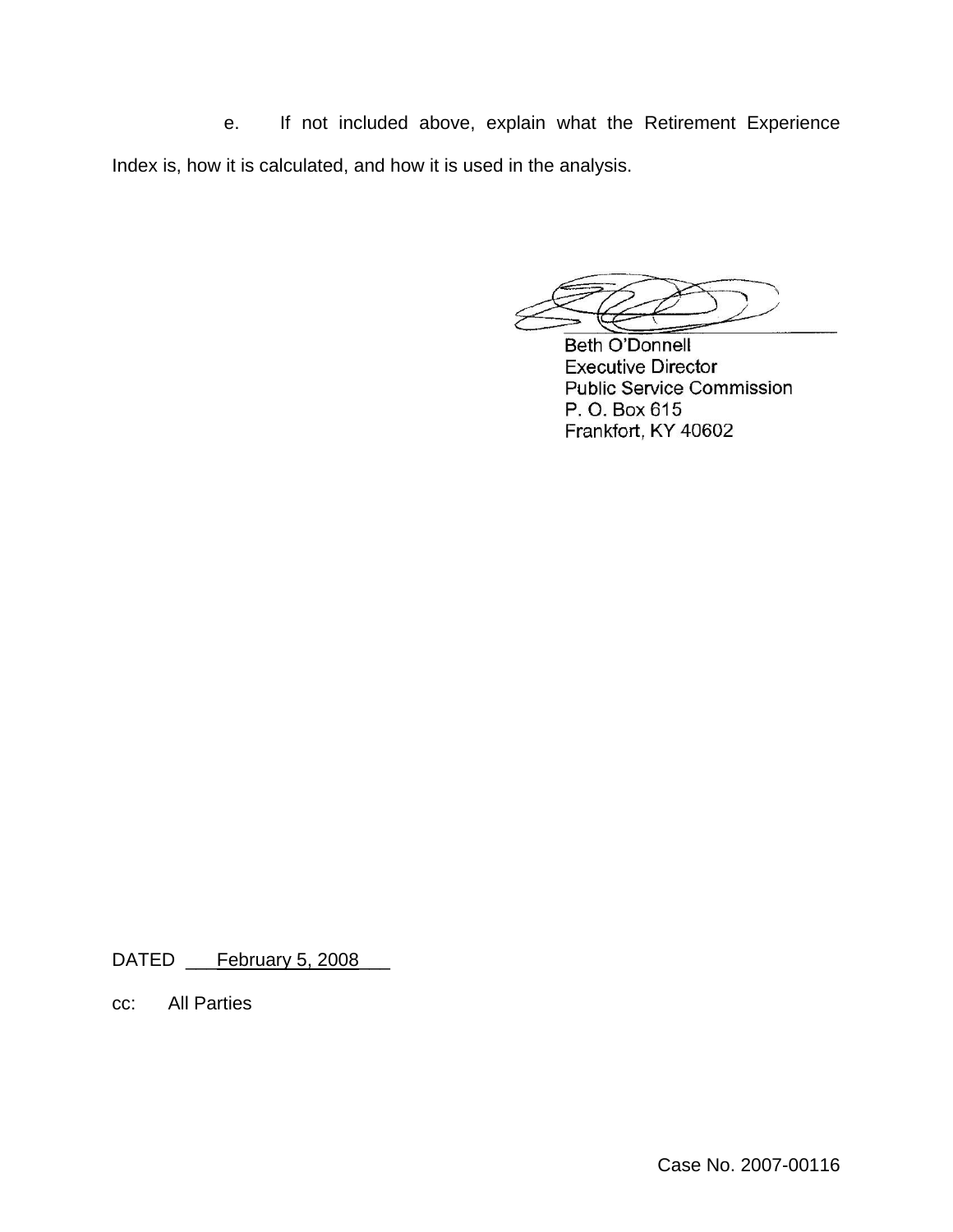e. If not included above, explain what the Retirement Experience Index is, how it is calculated, and how it is used in the analysis.

**Beth O'Donnell Executive Director Public Service Commission** P. O. Box 615 Frankfort, KY 40602

DATED \_\_\_February 5, 2008

cc: All Parties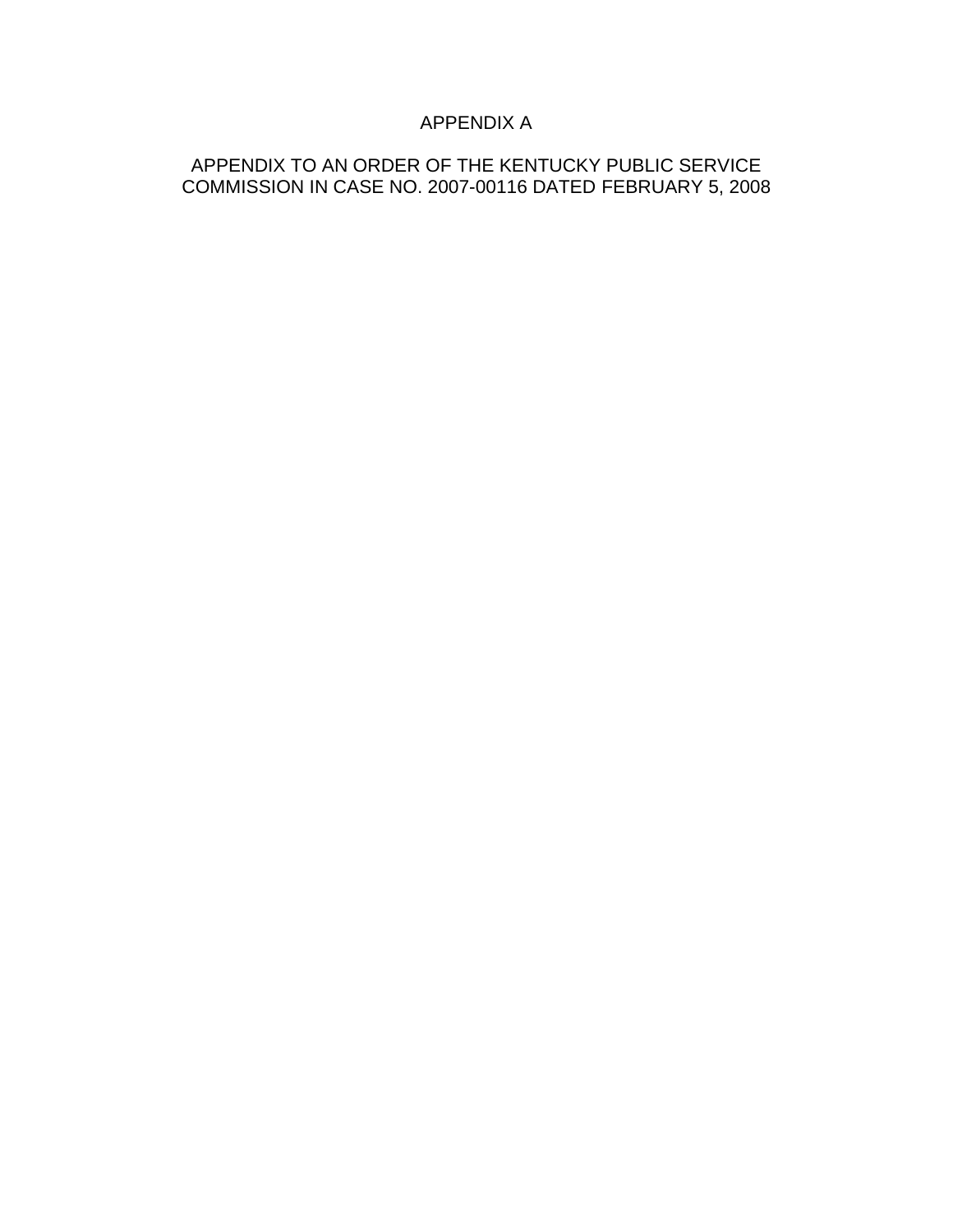## APPENDIX A

### APPENDIX TO AN ORDER OF THE KENTUCKY PUBLIC SERVICE COMMISSION IN CASE NO. 2007-00116 DATED FEBRUARY 5, 2008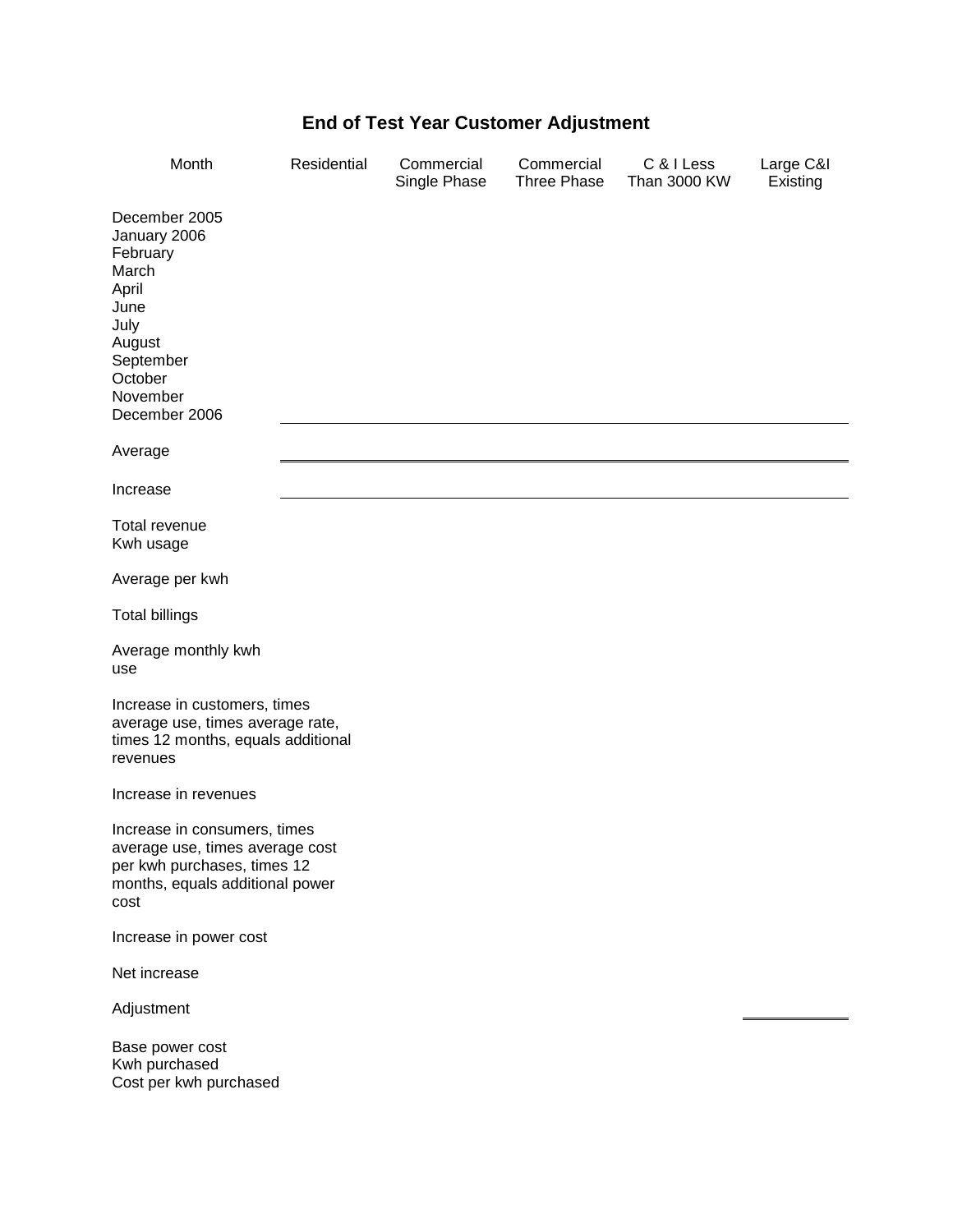# **End of Test Year Customer Adjustment**

| Month                                                                                                                                      | Residential | Commercial<br>Single Phase | Commercial<br>Three Phase | C & I Less<br><b>Than 3000 KW</b> | Large C&I<br>Existing |
|--------------------------------------------------------------------------------------------------------------------------------------------|-------------|----------------------------|---------------------------|-----------------------------------|-----------------------|
| December 2005<br>January 2006<br>February<br>March<br>April<br>June<br>July<br>August<br>September<br>October<br>November<br>December 2006 |             |                            |                           |                                   |                       |
| Average                                                                                                                                    |             |                            |                           |                                   |                       |
| Increase                                                                                                                                   |             |                            |                           |                                   |                       |
| Total revenue<br>Kwh usage                                                                                                                 |             |                            |                           |                                   |                       |
| Average per kwh                                                                                                                            |             |                            |                           |                                   |                       |
| <b>Total billings</b>                                                                                                                      |             |                            |                           |                                   |                       |
| Average monthly kwh<br>use                                                                                                                 |             |                            |                           |                                   |                       |
| Increase in customers, times<br>average use, times average rate,<br>times 12 months, equals additional<br>revenues                         |             |                            |                           |                                   |                       |
| Increase in revenues                                                                                                                       |             |                            |                           |                                   |                       |
| Increase in consumers, times<br>average use, times average cost<br>per kwh purchases, times 12<br>months, equals additional power<br>cost  |             |                            |                           |                                   |                       |
| Increase in power cost                                                                                                                     |             |                            |                           |                                   |                       |
| Net increase                                                                                                                               |             |                            |                           |                                   |                       |
| Adjustment                                                                                                                                 |             |                            |                           |                                   |                       |
| Base power cost<br>Kwh purchased<br>Cost per kwh purchased                                                                                 |             |                            |                           |                                   |                       |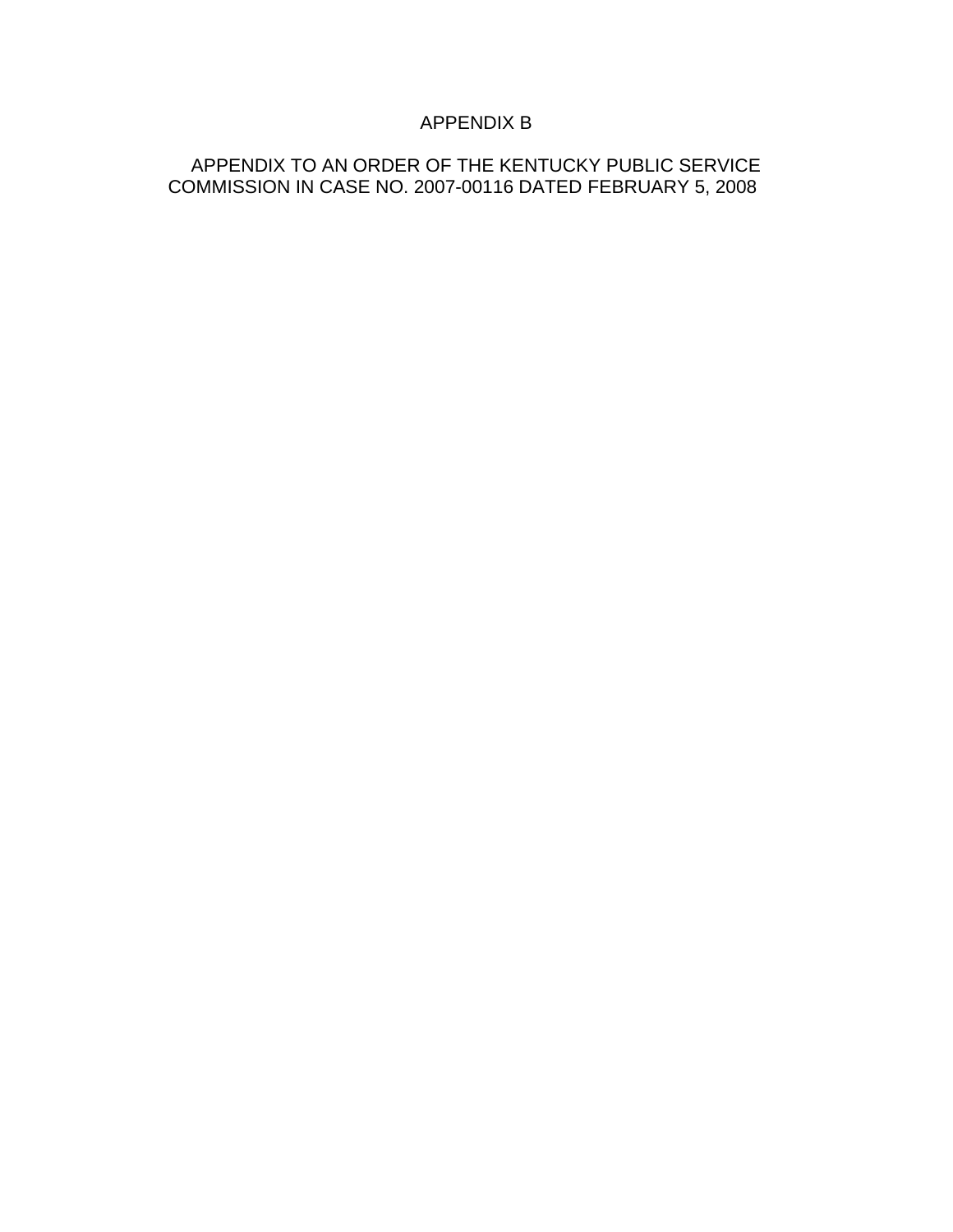## APPENDIX B

### APPENDIX TO AN ORDER OF THE KENTUCKY PUBLIC SERVICE COMMISSION IN CASE NO. 2007-00116 DATED FEBRUARY 5, 2008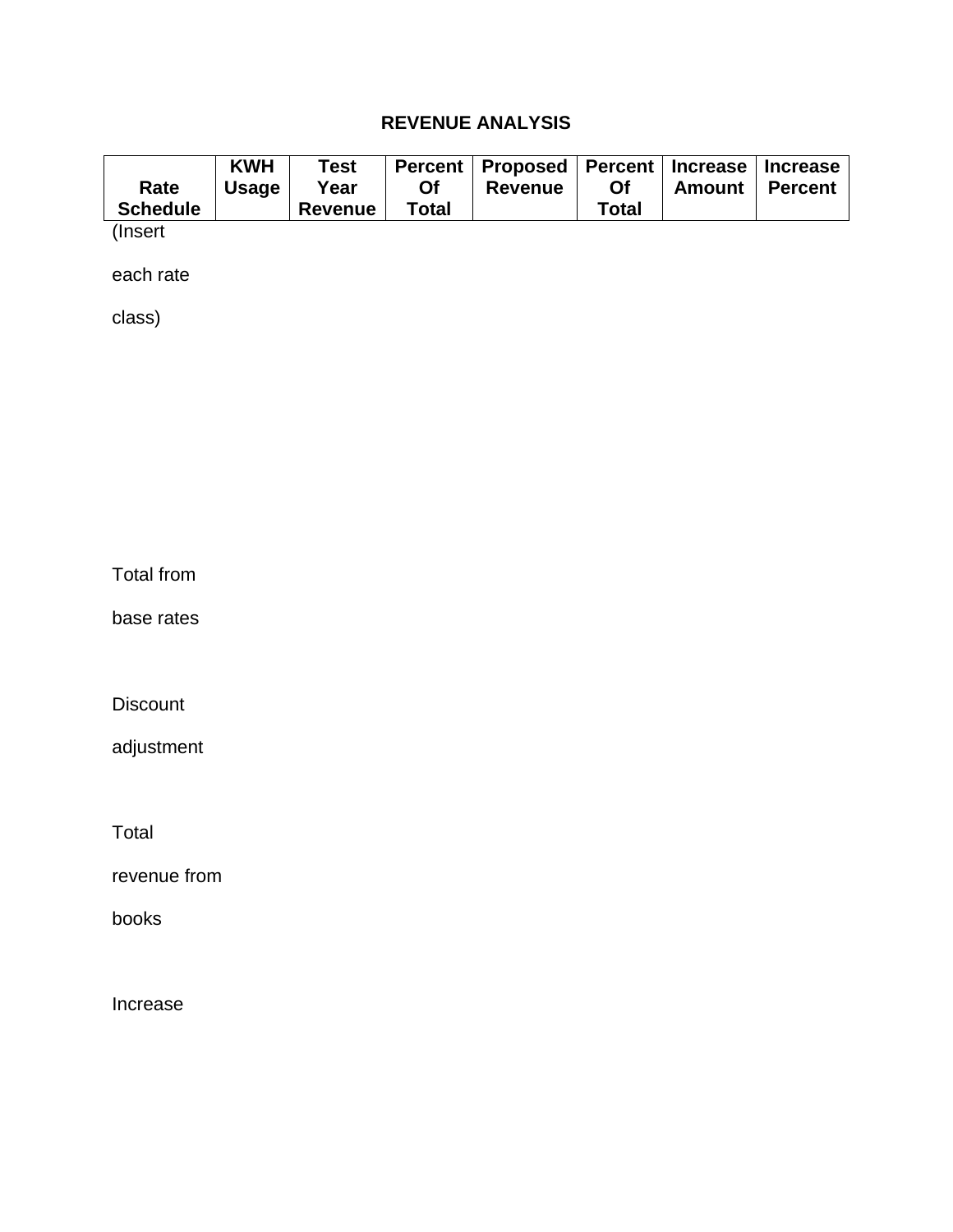# **REVENUE ANALYSIS**

|                 | <b>KWH</b>   | <b>Test</b> |              | Percent   Proposed   Percent   Increase   Increase |           |        |                |
|-----------------|--------------|-------------|--------------|----------------------------------------------------|-----------|--------|----------------|
| Rate            | <b>Usage</b> | Year        | <b>Of</b>    | <b>Revenue</b>                                     | <b>Of</b> | Amount | <b>Percent</b> |
| <b>Schedule</b> |              | Revenue     | <b>Total</b> |                                                    | Total     |        |                |

(Insert

each rate

class)

Total from

base rates

**Discount** 

adjustment

Total

revenue from

books

Increase